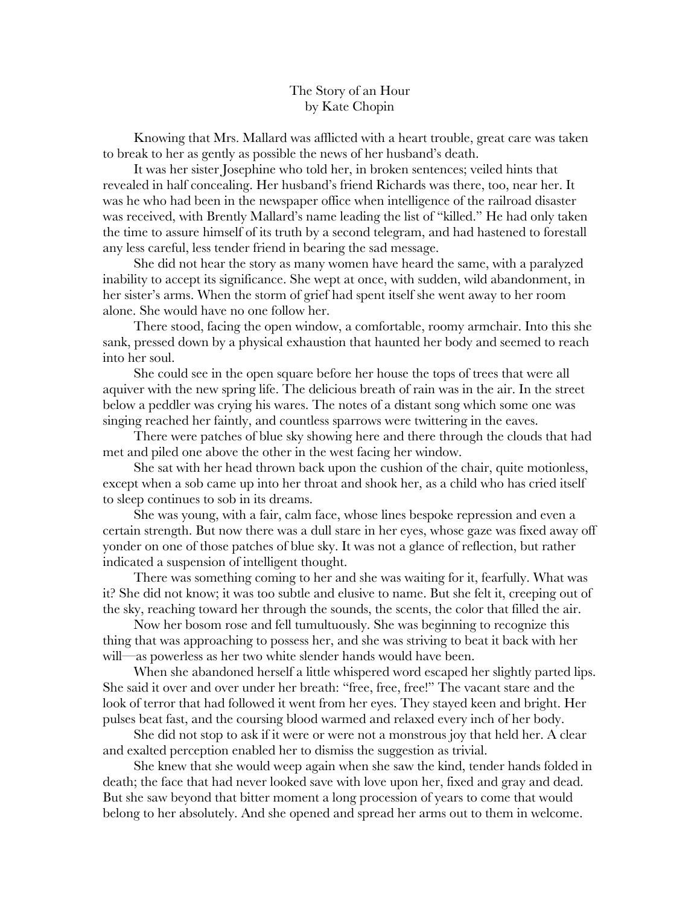## The Story of an Hour by Kate Chopin

Knowing that Mrs. Mallard was afflicted with a heart trouble, great care was taken to break to her as gently as possible the news of her husband's death.

It was her sister Josephine who told her, in broken sentences; veiled hints that revealed in half concealing. Her husband's friend Richards was there, too, near her. It was he who had been in the newspaper office when intelligence of the railroad disaster was received, with Brently Mallard's name leading the list of "killed." He had only taken the time to assure himself of its truth by a second telegram, and had hastened to forestall any less careful, less tender friend in bearing the sad message.

She did not hear the story as many women have heard the same, with a paralyzed inability to accept its significance. She wept at once, with sudden, wild abandonment, in her sister's arms. When the storm of grief had spent itself she went away to her room alone. She would have no one follow her.

There stood, facing the open window, a comfortable, roomy armchair. Into this she sank, pressed down by a physical exhaustion that haunted her body and seemed to reach into her soul.

She could see in the open square before her house the tops of trees that were all aquiver with the new spring life. The delicious breath of rain was in the air. In the street below a peddler was crying his wares. The notes of a distant song which some one was singing reached her faintly, and countless sparrows were twittering in the eaves.

There were patches of blue sky showing here and there through the clouds that had met and piled one above the other in the west facing her window.

She sat with her head thrown back upon the cushion of the chair, quite motionless, except when a sob came up into her throat and shook her, as a child who has cried itself to sleep continues to sob in its dreams.

She was young, with a fair, calm face, whose lines bespoke repression and even a certain strength. But now there was a dull stare in her eyes, whose gaze was fixed away off yonder on one of those patches of blue sky. It was not a glance of reflection, but rather indicated a suspension of intelligent thought.

There was something coming to her and she was waiting for it, fearfully. What was it? She did not know; it was too subtle and elusive to name. But she felt it, creeping out of the sky, reaching toward her through the sounds, the scents, the color that filled the air.

Now her bosom rose and fell tumultuously. She was beginning to recognize this thing that was approaching to possess her, and she was striving to beat it back with her will—as powerless as her two white slender hands would have been.

When she abandoned herself a little whispered word escaped her slightly parted lips. She said it over and over under her breath: "free, free, free!" The vacant stare and the look of terror that had followed it went from her eyes. They stayed keen and bright. Her pulses beat fast, and the coursing blood warmed and relaxed every inch of her body.

She did not stop to ask if it were or were not a monstrous joy that held her. A clear and exalted perception enabled her to dismiss the suggestion as trivial.

She knew that she would weep again when she saw the kind, tender hands folded in death; the face that had never looked save with love upon her, fixed and gray and dead. But she saw beyond that bitter moment a long procession of years to come that would belong to her absolutely. And she opened and spread her arms out to them in welcome.